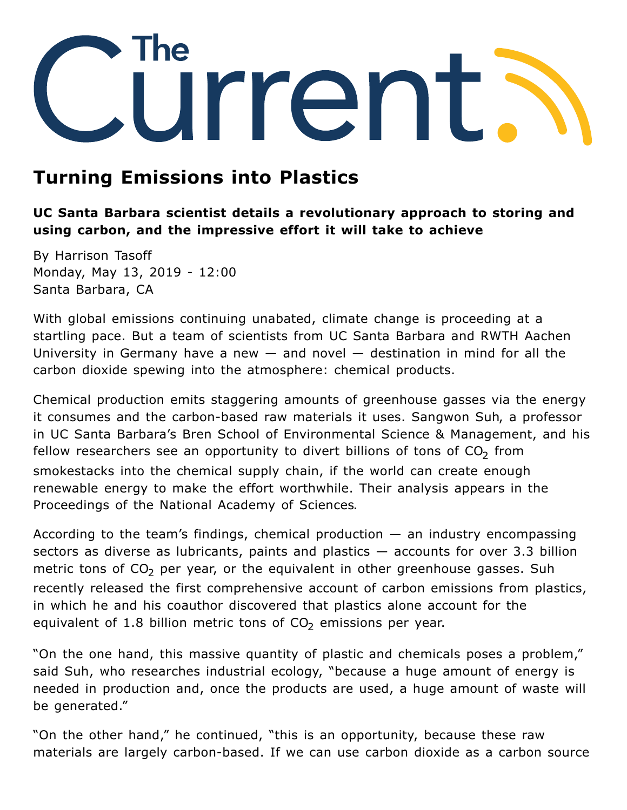

# **Turning Emissions into Plastics**

### **UC Santa Barbara scientist details a revolutionary approach to storing and using carbon, and the impressive effort it will take to achieve**

By Harrison Tasoff Monday, May 13, 2019 - 12:00 Santa Barbara, CA

With global emissions continuing unabated, climate change is proceeding at a startling pace. But a team of scientists from UC Santa Barbara and RWTH Aachen University in Germany have a new  $-$  and novel  $-$  destination in mind for all the carbon dioxide spewing into the atmosphere: chemical products.

Chemical production emits staggering amounts of greenhouse gasses via the energy it consumes and the carbon-based raw materials it uses. [Sangwon Suh](https://www.bren.ucsb.edu/people/Faculty/sangwon_suh.htm), a professor in UC Santa Barbara's Bren School of Environmental Science & Management, and his fellow researchers see an opportunity to divert billions of tons of  $CO<sub>2</sub>$  from smokestacks into the chemical supply chain, if the world can create enough renewable energy to make the effort worthwhile. Their analysis appears in the [Proceedings of the National Academy of Sciences](https://www.pnas.org/content/early/2019/05/07/1821029116).

According to the team's findings, chemical production  $-$  an industry encompassing sectors as diverse as lubricants, paints and plastics  $-$  accounts for over 3.3 billion metric tons of  $CO<sub>2</sub>$  per year, or the equivalent in other greenhouse gasses. Suh recently [released](https://www.news.ucsb.edu/2019/019424/plastic-s-carbon-footprint) the first comprehensive account of carbon emissions from plastics, in which he and his coauthor discovered that plastics alone account for the equivalent of 1.8 billion metric tons of  $CO<sub>2</sub>$  emissions per year.

"On the one hand, this massive quantity of plastic and chemicals poses a problem," said Suh, who researches industrial ecology, "because a huge amount of energy is needed in production and, once the products are used, a huge amount of waste will be generated."

"On the other hand," he continued, "this is an opportunity, because these raw materials are largely carbon-based. If we can use carbon dioxide as a carbon source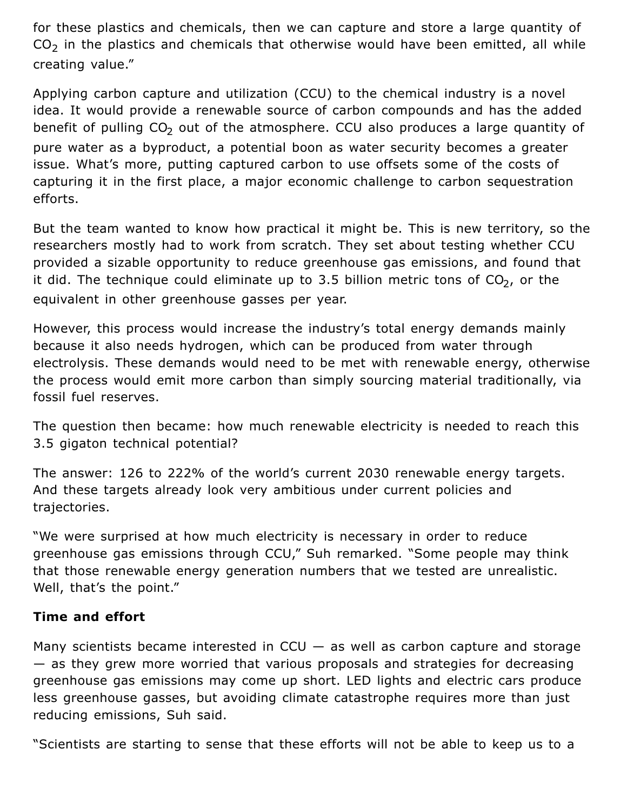for these plastics and chemicals, then we can capture and store a large quantity of  $CO<sub>2</sub>$  in the plastics and chemicals that otherwise would have been emitted, all while creating value."

Applying carbon capture and utilization (CCU) to the chemical industry is a novel idea. It would provide a renewable source of carbon compounds and has the added benefit of pulling  $CO<sub>2</sub>$  out of the atmosphere. CCU also produces a large quantity of pure water as a byproduct, a potential boon as water security becomes a greater issue. What's more, putting captured carbon to use offsets some of the costs of capturing it in the first place, a major economic challenge to carbon sequestration efforts.

But the team wanted to know how practical it might be. This is new territory, so the researchers mostly had to work from scratch. They set about testing whether CCU provided a sizable opportunity to reduce greenhouse gas emissions, and found that it did. The technique could eliminate up to 3.5 billion metric tons of  $CO<sub>2</sub>$ , or the equivalent in other greenhouse gasses per year.

However, this process would increase the industry's total energy demands mainly because it also needs hydrogen, which can be produced from water through electrolysis. These demands would need to be met with renewable energy, otherwise the process would emit more carbon than simply sourcing material traditionally, via fossil fuel reserves.

The question then became: how much renewable electricity is needed to reach this 3.5 gigaton technical potential?

The answer: 126 to 222% of the world's current 2030 renewable energy targets. And these targets already look very ambitious under current policies and trajectories.

"We were surprised at how much electricity is necessary in order to reduce greenhouse gas emissions through CCU," Suh remarked. "Some people may think that those renewable energy generation numbers that we tested are unrealistic. Well, that's the point."

#### **Time and effort**

Many scientists became interested in CCU  $-$  as well as carbon capture and storage — as they grew more worried that various proposals and strategies for decreasing greenhouse gas emissions may come up short. LED lights and electric cars produce less greenhouse gasses, but avoiding climate catastrophe requires more than just reducing emissions, Suh said.

"Scientists are starting to sense that these efforts will not be able to keep us to a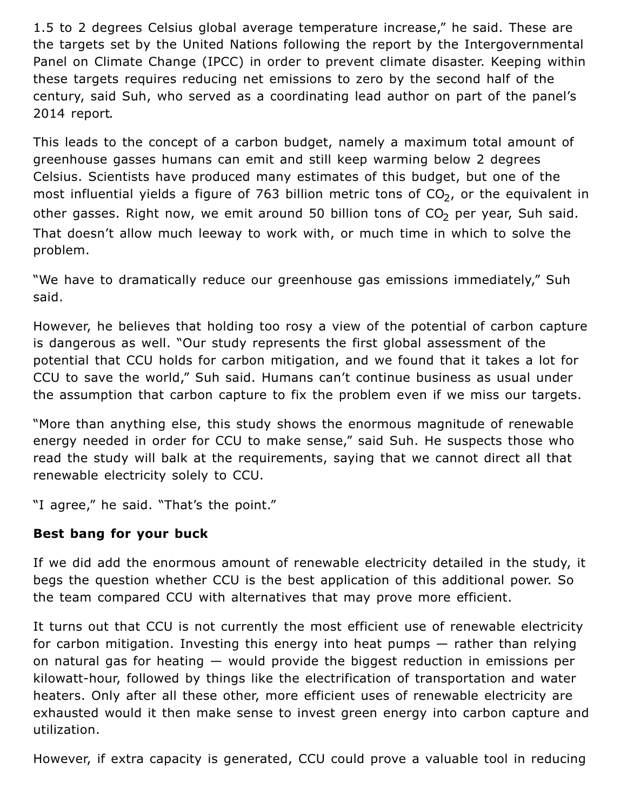1.5 to 2 degrees Celsius global average temperature increase," he said. These are the targets set by the United Nations following the report by the Intergovernmental Panel on Climate Change (IPCC) in order to prevent climate disaster. Keeping within these targets requires reducing net emissions to zero by the second half of the century, said Suh, who served as a coordinating lead author on part of the panel's [2014 report](https://www.ipcc.ch/site/assets/uploads/2018/02/ipcc_wg3_ar5_chapter5.pdf).

This leads to the concept of a carbon budget, namely a maximum total amount of greenhouse gasses humans can emit and still keep warming below 2 degrees Celsius. Scientists have produced many estimates of this budget, but one of the most influential yields a figure of 763 billion metric tons of  $CO<sub>2</sub>$ , or the equivalent in other gasses. Right now, we emit around 50 billion tons of  $CO<sub>2</sub>$  per year, Suh said. That doesn't allow much leeway to work with, or much time in which to solve the problem.

"We have to dramatically reduce our greenhouse gas emissions immediately," Suh said.

However, he believes that holding too rosy a view of the potential of carbon capture is dangerous as well. "Our study represents the first global assessment of the potential that CCU holds for carbon mitigation, and we found that it takes a lot for CCU to save the world," Suh said. Humans can't continue business as usual under the assumption that carbon capture to fix the problem even if we miss our targets.

"More than anything else, this study shows the enormous magnitude of renewable energy needed in order for CCU to make sense," said Suh. He suspects those who read the study will balk at the requirements, saying that we cannot direct all that renewable electricity solely to CCU.

"I agree," he said. "That's the point."

#### **Best bang for your buck**

If we did add the enormous amount of renewable electricity detailed in the study, it begs the question whether CCU is the best application of this additional power. So the team compared CCU with alternatives that may prove more efficient.

It turns out that CCU is not currently the most efficient use of renewable electricity for carbon mitigation. Investing this energy into heat pumps — rather than relying on natural gas for heating — would provide the biggest reduction in emissions per kilowatt-hour, followed by things like the electrification of transportation and water heaters. Only after all these other, more efficient uses of renewable electricity are exhausted would it then make sense to invest green energy into carbon capture and utilization.

However, if extra capacity is generated, CCU could prove a valuable tool in reducing